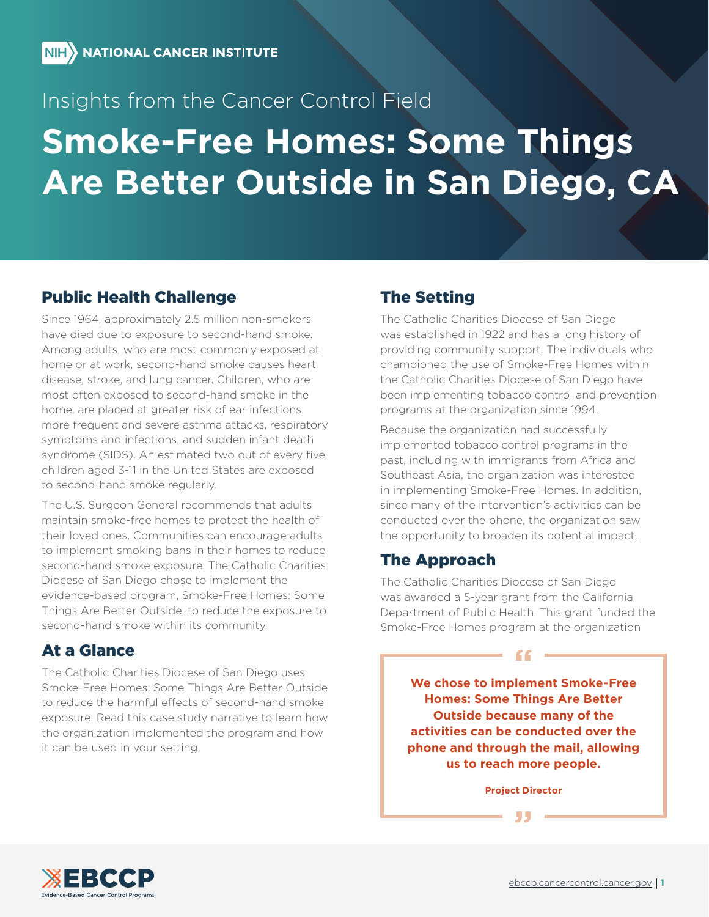## Insights from the Cancer Control Field

# **Smoke-Free Homes: Some Things Are Better Outside in San Diego, CA**

## Public Health Challenge

Since 1964, approximately 2.5 million non-smokers have died due to exposure to second-hand smoke. Among adults, who are most commonly exposed at home or at work, second-hand smoke causes heart disease, stroke, and lung cancer. Children, who are most often exposed to second-hand smoke in the home, are placed at greater risk of ear infections. more frequent and severe asthma attacks, respiratory symptoms and infections, and sudden infant death syndrome (SIDS). An estimated two out of every five children aged 3-11 in the United States are exposed to second-hand smoke regularly.

The U.S. Surgeon General recommends that adults maintain smoke-free homes to protect the health of their loved ones. Communities can encourage adults to implement smoking bans in their homes to reduce second-hand smoke exposure. The Catholic Charities Diocese of San Diego chose to implement the evidence-based program, Smoke-Free Homes: Some Things Are Better Outside, to reduce the exposure to second-hand smoke within its community.

## At a Glance

The Catholic Charities Diocese of San Diego uses Smoke-Free Homes: Some Things Are Better Outside to reduce the harmful effects of second-hand smoke exposure. Read this case study narrative to learn how the organization implemented the program and how it can be used in your setting.

## The Setting

The Catholic Charities Diocese of San Diego was established in 1922 and has a long history of providing community support. The individuals who championed the use of Smoke-Free Homes within the Catholic Charities Diocese of San Diego have been implementing tobacco control and prevention programs at the organization since 1994.

Because the organization had successfully implemented tobacco control programs in the past, including with immigrants from Africa and Southeast Asia, the organization was interested in implementing Smoke-Free Homes. In addition, since many of the intervention's activities can be conducted over the phone, the organization saw the opportunity to broaden its potential impact.

## The Approach

The Catholic Charities Diocese of San Diego was awarded a 5-year grant from the California Department of Public Health. This grant funded the Smoke-Free Homes program at the organization

**We chose to implement Smoke-Free Homes: Some Things Are Better Outside because many of the activities can be conducted over the phone and through the mail, allowing us to reach more people.**

 $66 =$ 

**Project Director**

**"**

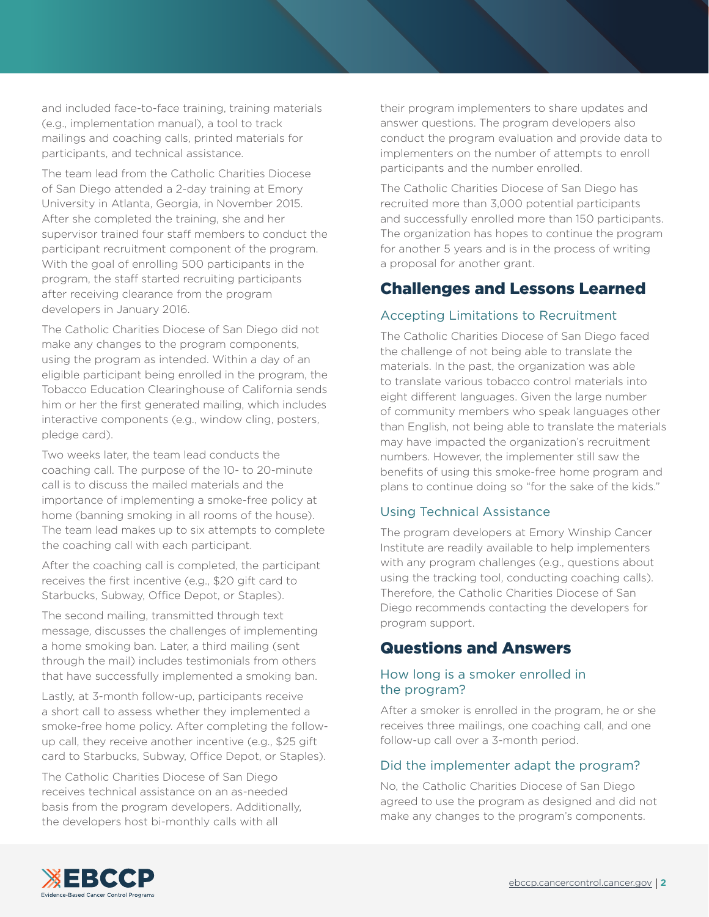and included face-to-face training, training materials (e.g., implementation manual), a tool to track mailings and coaching calls, printed materials for participants, and technical assistance.

The team lead from the Catholic Charities Diocese of San Diego attended a 2-day training at Emory University in Atlanta, Georgia, in November 2015. After she completed the training, she and her supervisor trained four staff members to conduct the participant recruitment component of the program. With the goal of enrolling 500 participants in the program, the staff started recruiting participants after receiving clearance from the program developers in January 2016.

The Catholic Charities Diocese of San Diego did not make any changes to the program components, using the program as intended. Within a day of an eligible participant being enrolled in the program, the Tobacco Education Clearinghouse of California sends him or her the first generated mailing, which includes interactive components (e.g., window cling, posters, pledge card).

Two weeks later, the team lead conducts the coaching call. The purpose of the 10- to 20-minute call is to discuss the mailed materials and the importance of implementing a smoke-free policy at home (banning smoking in all rooms of the house). The team lead makes up to six attempts to complete the coaching call with each participant.

After the coaching call is completed, the participant receives the first incentive (e.g., \$20 gift card to Starbucks, Subway, Office Depot, or Staples).

The second mailing, transmitted through text message, discusses the challenges of implementing a home smoking ban. Later, a third mailing (sent through the mail) includes testimonials from others that have successfully implemented a smoking ban.

Lastly, at 3-month follow-up, participants receive a short call to assess whether they implemented a smoke-free home policy. After completing the followup call, they receive another incentive (e.g., \$25 gift card to Starbucks, Subway, Office Depot, or Staples).

The Catholic Charities Diocese of San Diego receives technical assistance on an as-needed basis from the program developers. Additionally, the developers host bi-monthly calls with all

their program implementers to share updates and answer questions. The program developers also conduct the program evaluation and provide data to implementers on the number of attempts to enroll participants and the number enrolled.

The Catholic Charities Diocese of San Diego has recruited more than 3,000 potential participants and successfully enrolled more than 150 participants. The organization has hopes to continue the program for another 5 years and is in the process of writing a proposal for another grant.

## Challenges and Lessons Learned

#### Accepting Limitations to Recruitment

The Catholic Charities Diocese of San Diego faced the challenge of not being able to translate the materials. In the past, the organization was able to translate various tobacco control materials into eight different languages. Given the large number of community members who speak languages other than English, not being able to translate the materials may have impacted the organization's recruitment numbers. However, the implementer still saw the benefits of using this smoke-free home program and plans to continue doing so "for the sake of the kids."

#### Using Technical Assistance

The program developers at Emory Winship Cancer Institute are readily available to help implementers with any program challenges (e.g., questions about using the tracking tool, conducting coaching calls). Therefore, the Catholic Charities Diocese of San Diego recommends contacting the developers for program support.

## Questions and Answers

#### How long is a smoker enrolled in the program?

After a smoker is enrolled in the program, he or she receives three mailings, one coaching call, and one follow-up call over a 3-month period.

#### Did the implementer adapt the program?

No, the Catholic Charities Diocese of San Diego agreed to use the program as designed and did not make any changes to the program's components.